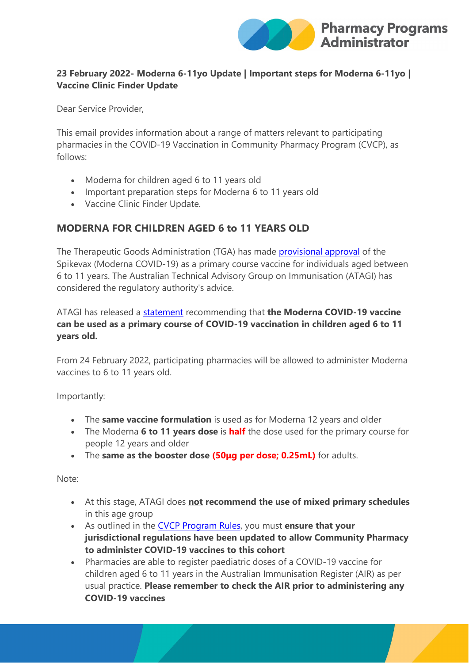

#### **23 February 2022- Moderna 6-11yo Update | Important steps for Moderna 6-11yo | Vaccine Clinic Finder Update**

Dear Service Provider,

This email provides information about a range of matters relevant to participating pharmacies in the COVID-19 Vaccination in Community Pharmacy Program (CVCP), as follows:

- Moderna for children aged 6 to 11 years old
- Important preparation steps for Moderna 6 to 11 years old
- Vaccine Clinic Finder Update.

# **MODERNA FOR CHILDREN AGED 6 to 11 YEARS OLD**

The Therapeutic Goods Administration (TGA) has made **provisional approval** of the Spikevax (Moderna COVID-19) as a primary course vaccine for individuals aged between 6 to 11 years. The Australian Technical Advisory Group on Immunisation (ATAGI) has considered the regulatory authority's advice.

ATAGI has released a [statement](https://protect-au.mimecast.com/s/Mh1DCGv0m8SW7LMUpch0u?domain=health.gov.au) recommending that **the Moderna COVID-19 vaccine can be used as a primary course of COVID-19 vaccination in children aged 6 to 11 years old.**

From 24 February 2022, participating pharmacies will be allowed to administer Moderna vaccines to 6 to 11 years old.

Importantly:

- The **same vaccine formulation** is used as for Moderna 12 years and older
- The Moderna **6 to 11 years dose** is **half** the dose used for the primary course for people 12 years and older
- The **same as the booster dose (50μg per dose; 0.25mL)** for adults.

Note:

- At this stage, ATAGI does **not recommend the use of mixed primary schedules** in this age group
- As outlined in the [CVCP Program Rules,](https://protect-au.mimecast.com/s/oagPCJyBpQtpJQYCLR7Te?domain=ppaonline.com.au) you must **ensure that your jurisdictional regulations have been updated to allow Community Pharmacy to administer COVID-19 vaccines to this cohort**
- Pharmacies are able to register paediatric doses of a COVID-19 vaccine for children aged 6 to 11 years in the Australian Immunisation Register (AIR) as per usual practice. **Please remember to check the AIR prior to administering any COVID-19 vaccines**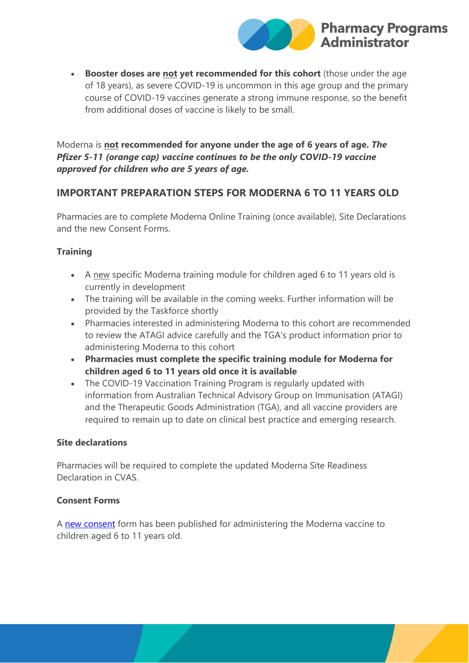

• **Booster doses are not yet recommended for this cohort** (those under the age of 18 years), as severe COVID-19 is uncommon in this age group and the primary course of COVID-19 vaccines generate a strong immune response, so the benefit from additional doses of vaccine is likely to be small.

Moderna is **not recommended for anyone under the age of 6 years of age.** *The Pfizer 5-11 (orange cap) vaccine continues to be the only COVID-19 vaccine approved for children who are 5 years of age.*

## **IMPORTANT PREPARATION STEPS FOR MODERNA 6 TO 11 YEARS OLD**

Pharmacies are to complete Moderna Online Training (once available), Site Declarations and the new Consent Forms.

#### **Training**

- A new specific Moderna training module for children aged 6 to 11 years old is currently in development
- The training will be available in the coming weeks. Further information will be provided by the Taskforce shortly
- Pharmacies interested in administering Moderna to this cohort are recommended to review the ATAGI advice carefully and the TGA's product information prior to administering Moderna to this cohort
- **Pharmacies must complete the specific training module for Moderna for children aged 6 to 11 years old once it is available**
- The COVID-19 Vaccination Training Program is regularly updated with information from Australian Technical Advisory Group on Immunisation (ATAGI) and the Therapeutic Goods Administration (TGA), and all vaccine providers are required to remain up to date on clinical best practice and emerging research.

#### **Site declarations**

Pharmacies will be required to complete the updated Moderna Site Readiness Declaration in CVAS.

#### **Consent Forms**

A [new consent](https://protect-au.mimecast.com/s/M2w7CK1DqQu8ornup-6CR?domain=health.gov.au) form has been published for administering the Moderna vaccine to children aged 6 to 11 years old.